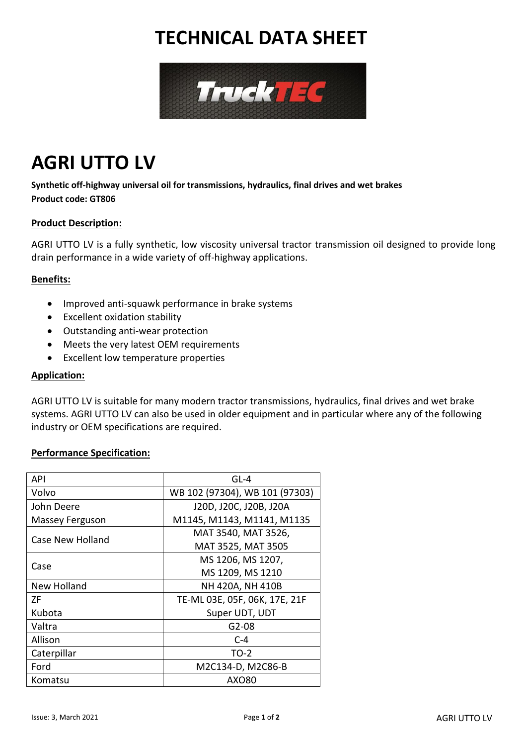# **TECHNICAL DATA SHEET**



### **AGRI UTTO LV**

**Synthetic off-highway universal oil for transmissions, hydraulics, final drives and wet brakes Product code: GT806**

#### **Product Description:**

AGRI UTTO LV is a fully synthetic, low viscosity universal tractor transmission oil designed to provide long drain performance in a wide variety of off-highway applications.

#### **Benefits:**

- Improved anti-squawk performance in brake systems
- Excellent oxidation stability
- Outstanding anti-wear protection
- Meets the very latest OEM requirements
- Excellent low temperature properties

#### **Application:**

AGRI UTTO LV is suitable for many modern tractor transmissions, hydraulics, final drives and wet brake systems. AGRI UTTO LV can also be used in older equipment and in particular where any of the following industry or OEM specifications are required.

#### **Performance Specification:**

| API              | $GL-4$                         |
|------------------|--------------------------------|
| Volvo            | WB 102 (97304), WB 101 (97303) |
| John Deere       | J20D, J20C, J20B, J20A         |
| Massey Ferguson  | M1145, M1143, M1141, M1135     |
| Case New Holland | MAT 3540, MAT 3526,            |
|                  | MAT 3525, MAT 3505             |
| Case             | MS 1206, MS 1207,              |
|                  | MS 1209, MS 1210               |
| New Holland      | NH 420A, NH 410B               |
| ΖF               | TE-ML 03E, 05F, 06K, 17E, 21F  |
| Kubota           | Super UDT, UDT                 |
| Valtra           | $G2-08$                        |
| Allison          | $C-4$                          |
| Caterpillar      | TO-2                           |
| Ford             | M2C134-D, M2C86-B              |
| Komatsu          | AX080                          |